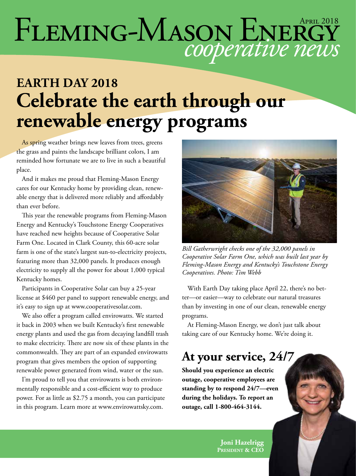# *cooperative news* FLEMING-MASON ENERGY

### **EARTH DAY 2018 Celebrate the earth through our renewable energy programs**

As spring weather brings new leaves from trees, greens the grass and paints the landscape brilliant colors, I am reminded how fortunate we are to live in such a beautiful place.

And it makes me proud that Fleming-Mason Energy cares for our Kentucky home by providing clean, renewable energy that is delivered more reliably and affordably than ever before.

This year the renewable programs from Fleming-Mason Energy and Kentucky's Touchstone Energy Cooperatives have reached new heights because of Cooperative Solar Farm One. Located in Clark County, this 60-acre solar farm is one of the state's largest sun-to-electricity projects, featuring more than 32,000 panels. It produces enough electricity to supply all the power for about 1,000 typical Kentucky homes.

Participants in Cooperative Solar can buy a 25-year license at \$460 per panel to support renewable energy, and it's easy to sign up at www.cooperativesolar.com.

We also offer a program called envirowatts. We started it back in 2003 when we built Kentucky's first renewable energy plants and used the gas from decaying landfill trash to make electricity. There are now six of these plants in the commonwealth. They are part of an expanded envirowatts program that gives members the option of supporting renewable power generated from wind, water or the sun.

I'm proud to tell you that envirowatts is both environmentally responsible and a cost-efficient way to produce power. For as little as \$2.75 a month, you can participate in this program. Learn more at www.envirowattsky.com.



*Bill Gatherwright checks one of the 32,000 panels in Cooperative Solar Farm One, which was built last year by Fleming-Mason Energy and Kentucky's Touchstone Energy Cooperatives. Photo: Tim Webb*

With Earth Day taking place April 22, there's no better—or easier—way to celebrate our natural treasures than by investing in one of our clean, renewable energy programs.

At Fleming-Mason Energy, we don't just talk about taking care of our Kentucky home. We're doing it.

#### **At your service, 24/7**

**Should you experience an electric outage, cooperative employees are standing by to respond 24/7—even during the holidays. To report an outage, call 1-800-464-3144.**

> **Joni Hazelrigg President & CEO**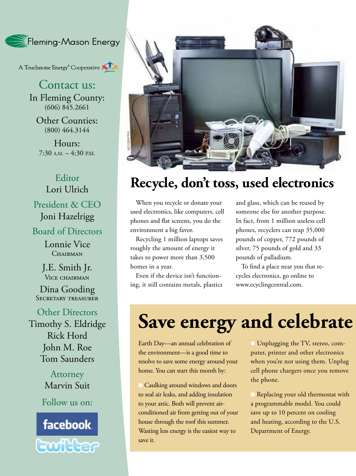Fleming-Mason Energy

A Touchstone Energy<sup>®</sup> Cooperative

Contact us: In Fleming County:  $(606)$   $845.2661$ 

Other Counties: (800) 464.3144

Hours:  $7:30$  A.M.  $-4:30$  P.M.

#### Editor Lori Ulrich

President & CEO Joni Hazelrigg

#### Board of Directors

Lonnie Vice CHAIRMAN

J.E. Smith Jr. VICE CHAIRMAN

Dina Gooding SECRETARY TREASURER

Other Directors Timothy S. Eldridge Rick Hord John M. Roe Tom Saunders

> **Attorney** Marvin Suit

Follow us on:





#### **Recycle, don't toss, used electronics**

When you recycle or donate your used electronics, like computers, cell phones and flat screens, you do the environment a big favor.

Recycling 1 million laptops saves roughly the amount of energy it takes to power more than 3,500 homes in a year.

Even if the device isn't functioning, it still contains metals, plastics and glass, which can be reused by someone else for another purpose. In fact, from 1 million useless cell phones, recyclers can reap 35,000 pounds of copper, 772 pounds of silver, 75 pounds of gold and 33 pounds of palladium.

To find a place near you that recycles electronics, go online to www.ecyclingcentral.com.

## **Save energy and celebrate**

Earth Day—an annual celebration of the environment—is a good time to resolve to save some energy around your home. You can start this month by:

n Caulking around windows and doors to seal air leaks, and adding insulation to your attic. Both will prevent airconditioned air from getting out of your house through the roof this summer. Wasting less energy is the easiest way to save it.

**I** Unplugging the TV, stereo, computer, printer and other electronics when you're not using them. Unplug cell phone chargers once you remove the phone.

Replacing your old thermostat with a programmable model. You could save up to 10 percent on cooling and heating, according to the U.S. Department of Energy.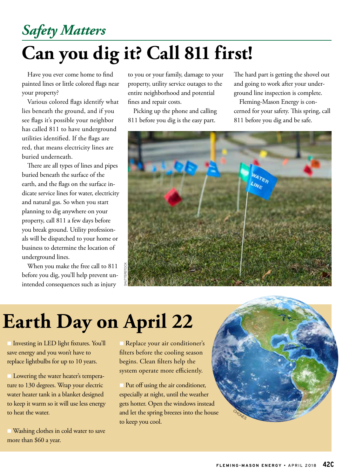### *Safety Matters*

## **Can you dig it? Call 811 first!**

Have you ever come home to find painted lines or little colored flags near your property?

Various colored flags identify what lies beneath the ground, and if you see flags it's possible your neighbor has called 811 to have underground utilities identified. If the flags are red, that means electricity lines are buried underneath.

There are all types of lines and pipes buried beneath the surface of the earth, and the flags on the surface indicate service lines for water, electricity and natural gas. So when you start planning to dig anywhere on your property, call 811 a few days before you break ground. Utility professionals will be dispatched to your home or business to determine the location of underground lines.

When you make the free call to 811 before you dig, you'll help prevent unintended consequences such as injury

to you or your family, damage to your property, utility service outages to the entire neighborhood and potential fines and repair costs.

Picking up the phone and calling 811 before you dig is the easy part.

The hard part is getting the shovel out and going to work after your underground line inspection is complete.

Fleming-Mason Energy is concerned for your safety. This spring, call 811 before you dig and be safe.



## **Earth Day on April 22**

**n Investing in LED light fixtures. You'll** save energy and you won't have to replace lightbulbs for up to 10 years.

**Lowering the water heater's tempera**ture to 130 degrees. Wrap your electric water heater tank in a blanket designed to keep it warm so it will use less energy to heat the water.

Washing clothes in cold water to save more than \$60 a year.

Replace your air conditioner's filters before the cooling season begins. Clean filters help the system operate more efficiently.

Put off using the air conditioner, especially at night, until the weather gets hotter. Open the windows instead and let the spring breezes into the house to keep you cool.